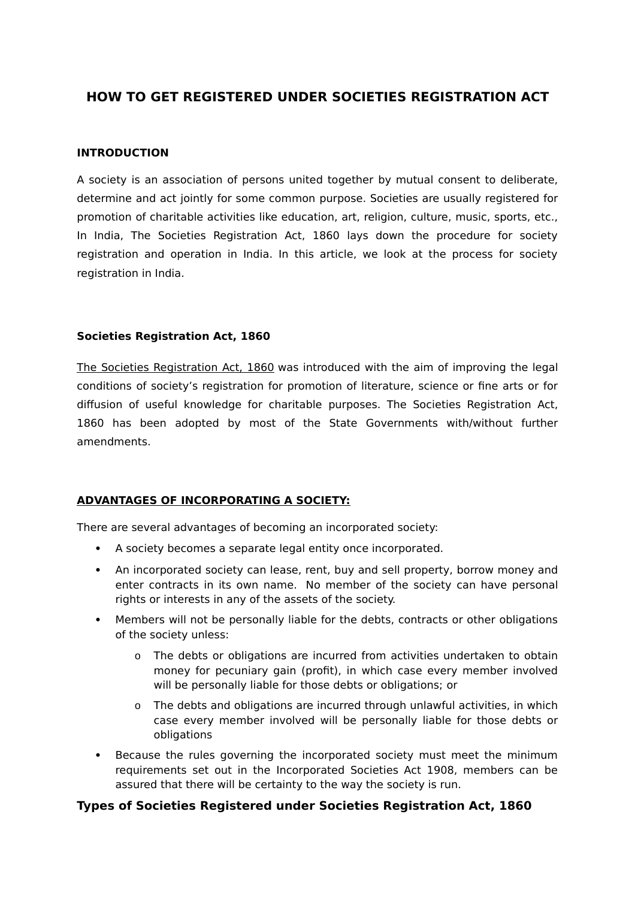# **HOW TO GET REGISTERED UNDER SOCIETIES REGISTRATION ACT**

#### **INTRODUCTION**

A society is an association of persons united together by mutual consent to deliberate, determine and act jointly for some common purpose. Societies are usually registered for promotion of charitable activities like education, art, religion, culture, music, sports, etc., In India, The Societies Registration Act, 1860 lays down the procedure for society registration and operation in India. In this article, we look at the process for society registration in India.

#### **Societies Registration Act, 1860**

[The Societies Registration Act, 1860](https://www.indiafilings.com/learn/wp-content/uploads/2015/01/Indian-Societies-Registration-Act-1860.pdf) was introduced with the aim of improving the legal conditions of society's registration for promotion of literature, science or fine arts or for diffusion of useful knowledge for charitable purposes. The Societies Registration Act, 1860 has been adopted by most of the State Governments with/without further amendments.

#### **ADVANTAGES OF INCORPORATING A SOCIETY:**

There are several advantages of becoming an incorporated society:

- A society becomes a separate legal entity once incorporated.
- An incorporated society can lease, rent, buy and sell property, borrow money and enter contracts in its own name. No member of the society can have personal rights or interests in any of the assets of the society.
- Members will not be personally liable for the debts, contracts or other obligations of the society unless:
	- o The debts or obligations are incurred from activities undertaken to obtain money for pecuniary gain (profit), in which case every member involved will be personally liable for those debts or obligations; or
	- o The debts and obligations are incurred through unlawful activities, in which case every member involved will be personally liable for those debts or obligations
- Because the rules governing the incorporated society must meet the minimum requirements set out in the Incorporated Societies Act 1908, members can be assured that there will be certainty to the way the society is run.

#### **Types of Societies Registered under Societies Registration Act, 1860**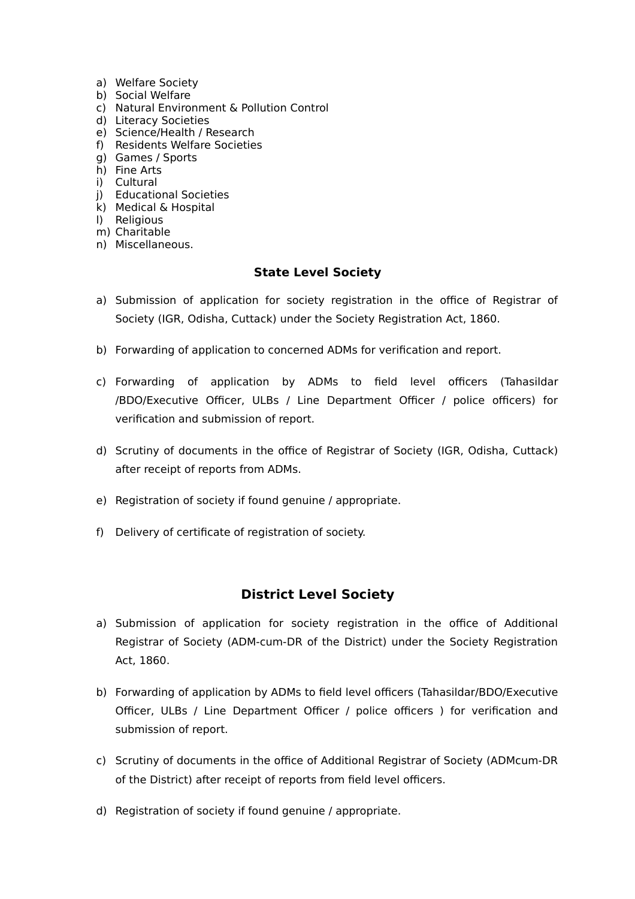- a) Welfare Society
- b) Social Welfare
- c) Natural Environment & Pollution Control
- d) Literacy Societies
- e) Science/Health / Research
- f) Residents Welfare Societies
- g) Games / Sports
- h) Fine Arts
- i) Cultural
- j) Educational Societies
- k) Medical & Hospital
- l) Religious
- m) Charitable
- n) Miscellaneous.

### **State Level Society**

- a) Submission of application for society registration in the office of Registrar of Society (IGR, Odisha, Cuttack) under the Society Registration Act, 1860.
- b) Forwarding of application to concerned ADMs for verification and report.
- c) Forwarding of application by ADMs to field level officers (Tahasildar /BDO/Executive Officer, ULBs / Line Department Officer / police officers) for verification and submission of report.
- d) Scrutiny of documents in the office of Registrar of Society (IGR, Odisha, Cuttack) after receipt of reports from ADMs.
- e) Registration of society if found genuine / appropriate.
- f) Delivery of certificate of registration of society.

## **District Level Society**

- a) Submission of application for society registration in the office of Additional Registrar of Society (ADM-cum-DR of the District) under the Society Registration Act, 1860.
- b) Forwarding of application by ADMs to field level officers (Tahasildar/BDO/Executive Officer, ULBs / Line Department Officer / police officers ) for verification and submission of report.
- c) Scrutiny of documents in the office of Additional Registrar of Society (ADMcum-DR of the District) after receipt of reports from field level officers.
- d) Registration of society if found genuine / appropriate.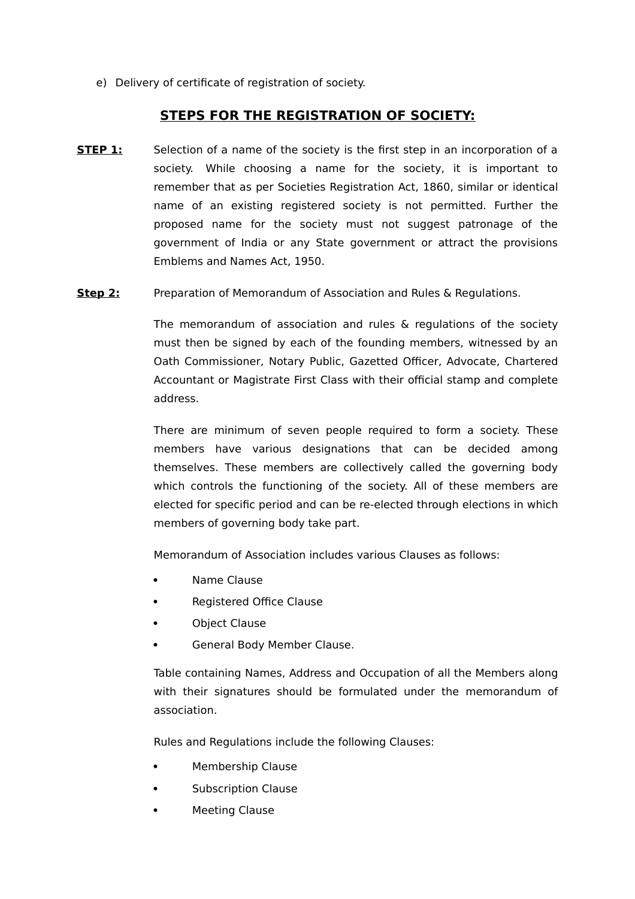e) Delivery of certificate of registration of society.

### **STEPS FOR THE REGISTRATION OF SOCIETY:**

- **STEP 1:** Selection of a name of the society is the first step in an incorporation of a society. While choosing a name for the society, it is important to remember that as per Societies Registration Act, 1860, similar or identical name of an existing registered society is not permitted. Further the proposed name for the society must not suggest patronage of the government of India or any State government or attract the provisions Emblems and Names Act, 1950.
- **Step 2:** Preparation of Memorandum of Association and Rules & Regulations.

The memorandum of association and rules & regulations of the society must then be signed by each of the founding members, witnessed by an Oath Commissioner, Notary Public, Gazetted Officer, Advocate, Chartered Accountant or Magistrate First Class with their official stamp and complete address.

There are minimum of seven people required to form a society. These members have various designations that can be decided among themselves. These members are collectively called the governing body which controls the functioning of the society. All of these members are elected for specific period and can be re-elected through elections in which members of governing body take part.

Memorandum of Association includes various Clauses as follows:

- Name Clause
- Registered Office Clause
- Object Clause
- General Body Member Clause.

Table containing Names, Address and Occupation of all the Members along with their signatures should be formulated under the memorandum of association.

Rules and Regulations include the following Clauses:

- Membership Clause
- Subscription Clause
- **•** Meeting Clause